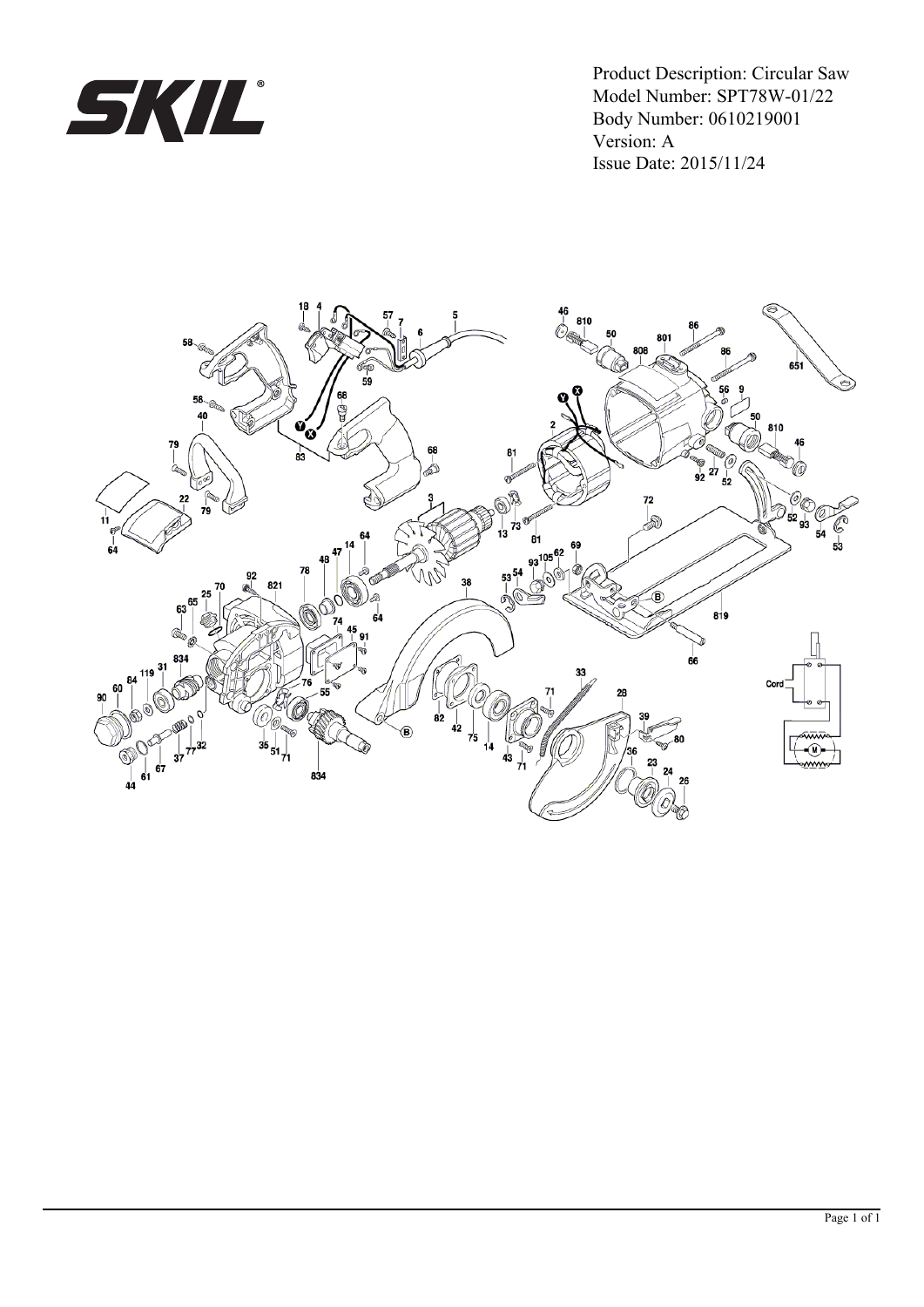

Model Number: SPT78W-01/22 Body Number: 0610219001 Version: A Issue Date: 2015/11/24 Product Description: Circular Saw

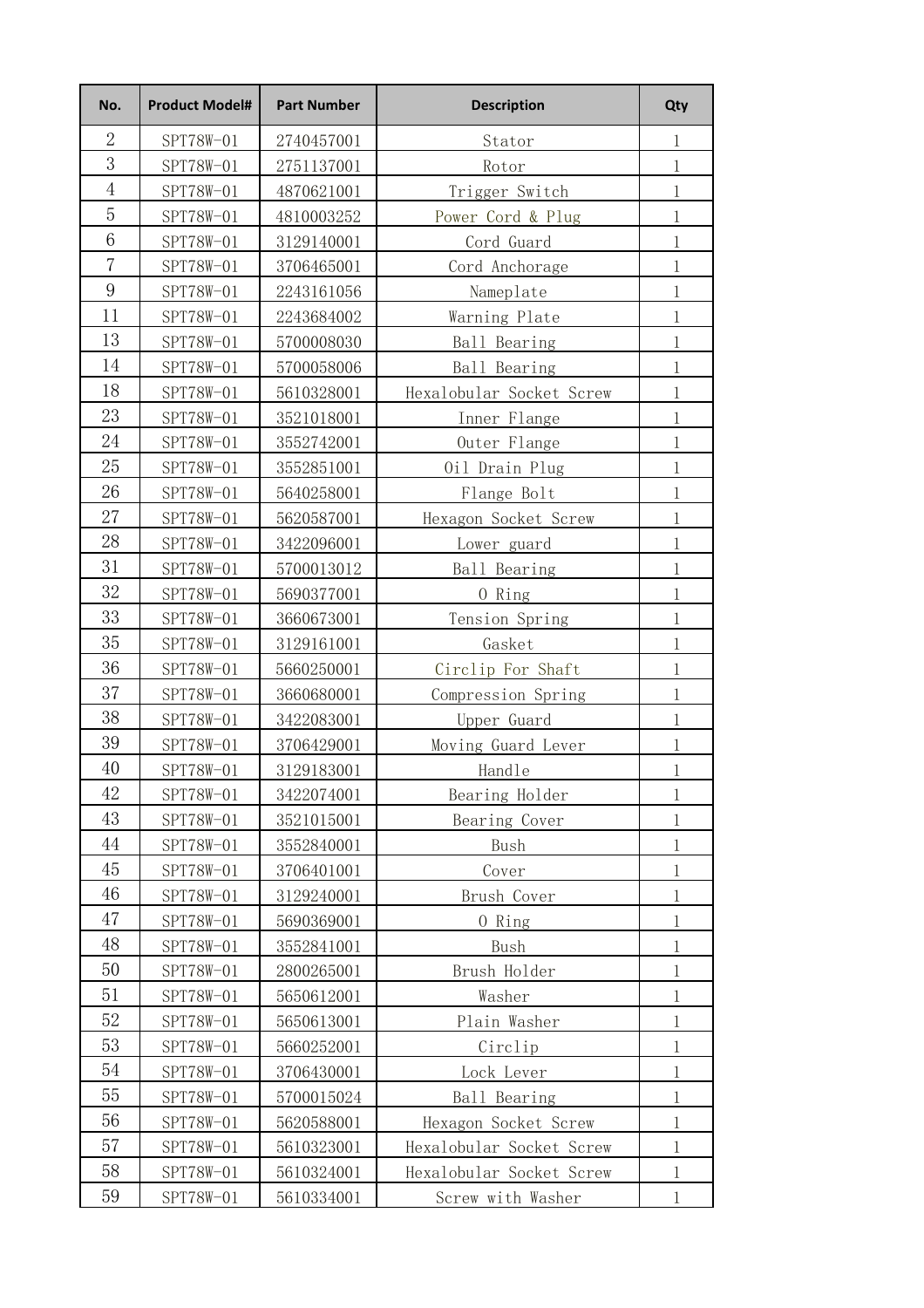| No.            | <b>Product Model#</b> | <b>Part Number</b> | <b>Description</b>       | Qty           |
|----------------|-----------------------|--------------------|--------------------------|---------------|
| $\overline{2}$ | SPT78W-01             | 2740457001         | Stator                   | 1             |
| 3              | SPT78W-01             | 2751137001         | Rotor                    | $\mathbf{1}$  |
| $\overline{4}$ | SPT78W-01             | 4870621001         | Trigger Switch           | $\mathbf{1}$  |
| 5              | SPT78W-01             | 4810003252         | Power Cord & Plug        | $\mathbf{1}$  |
| 6              | SPT78W-01             | 3129140001         | Cord Guard               | $\mathbf{1}$  |
| $\overline{7}$ | SPT78W-01             | 3706465001         | Cord Anchorage           | $\mathbf{1}$  |
| 9              | SPT78W-01             | 2243161056         | Nameplate                | $\mathbf{1}$  |
| 11             | SPT78W-01             | 2243684002         | Warning Plate            | $\mathbf{1}$  |
| 13             | SPT78W-01             | 5700008030         | Ball Bearing             | $\mathbf{1}$  |
| 14             | SPT78W-01             | 5700058006         | Ball Bearing             | $\mathbf{1}$  |
| 18             | SPT78W-01             | 5610328001         | Hexalobular Socket Screw | $\mathbf{1}$  |
| 23             | SPT78W-01             | 3521018001         | Inner Flange             | $\mathbf{1}$  |
| 24             | SPT78W-01             | 3552742001         | Outer Flange             | $\mathbf{1}$  |
| 25             | SPT78W-01             | 3552851001         | Oil Drain Plug           | $\mathbf{1}$  |
| 26             | SPT78W-01             | 5640258001         | Flange Bolt              | $\mathbf{1}$  |
| 27             | SPT78W-01             | 5620587001         | Hexagon Socket Screw     | $\mathbf{1}$  |
| 28             | SPT78W-01             | 3422096001         | Lower guard              | $\mathbf{1}$  |
| 31             | SPT78W-01             | 5700013012         | Ball Bearing             | $\mathbf{1}$  |
| 32             | SPT78W-01             | 5690377001         | 0 Ring                   | $\mathbbm{1}$ |
| 33             | SPT78W-01             | 3660673001         | Tension Spring           | $\mathbf{1}$  |
| 35             | SPT78W-01             | 3129161001         | Gasket                   | $\mathbf{1}$  |
| 36             | SPT78W-01             | 5660250001         | Circlip For Shaft        | $\mathbf{1}$  |
| 37             | SPT78W-01             | 3660680001         | Compression Spring       | $\mathbf{1}$  |
| 38             | SPT78W-01             | 3422083001         | Upper Guard              | $\mathbf{1}$  |
| 39             | SPT78W-01             | 3706429001         | Moving Guard Lever       | $\mathbf{1}$  |
| 40             | SPT78W-01             | 3129183001         | Handle                   | $\mathbf{1}$  |
| 42             | SPT78W-01             | 3422074001         | Bearing Holder           | 1             |
| 43             | SPT78W-01             | 3521015001         | Bearing Cover            | $\mathbf{1}$  |
| 44             | SPT78W-01             | 3552840001         | Bush                     | $\mathbf{1}$  |
| 45             | SPT78W-01             | 3706401001         | Cover                    | $\mathbf{1}$  |
| 46             | SPT78W-01             | 3129240001         | Brush Cover              | 1             |
| 47             | SPT78W-01             | 5690369001         | 0 Ring                   | $\mathbf{1}$  |
| 48             | SPT78W-01             | 3552841001         | Bush                     | $\mathbf{1}$  |
| 50             | SPT78W-01             | 2800265001         | Brush Holder             | $\mathbf{1}$  |
| 51             | SPT78W-01             | 5650612001         | Washer                   | $\mathbf{1}$  |
| 52             | SPT78W-01             | 5650613001         | Plain Washer             | $\mathbf{1}$  |
| 53             | SPT78W-01             | 5660252001         | Circlip                  | 1             |
| 54             | SPT78W-01             | 3706430001         | Lock Lever               | $\mathbf{1}$  |
| 55             | SPT78W-01             | 5700015024         | Ball Bearing             | $\,1$         |
| 56             | SPT78W-01             | 5620588001         | Hexagon Socket Screw     | 1             |
| 57             | SPT78W-01             | 5610323001         | Hexalobular Socket Screw | $\mathbf{1}$  |
| 58             | SPT78W-01             | 5610324001         | Hexalobular Socket Screw | $\mathbf{1}$  |
| 59             | SPT78W-01             | 5610334001         | Screw with Washer        | 1             |